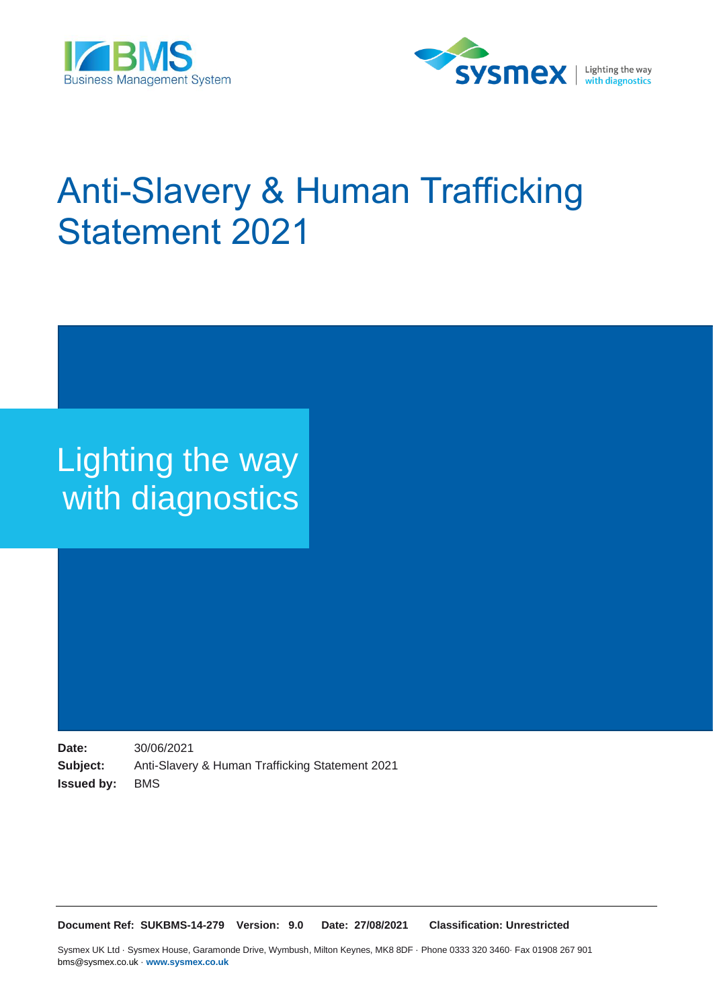



# Anti-Slavery & Human Trafficking Statement 2021

# Lighting the way with diagnostics

**Date:** 30/06/2021 **Subject:** Anti-Slavery & Human Trafficking Statement 2021 **Issued by:** BMS

**Document Ref: SUKBMS-14-279 Version: 9.0 Date: 27/08/2021 Classification: Unrestricted**

Sysmex UK Ltd · Sysmex House, Garamonde Drive, Wymbush, Milton Keynes, MK8 8DF · Phone 0333 320 3460· Fax 01908 267 901 bms@sysmex.co.uk · **www.sysmex.co.uk**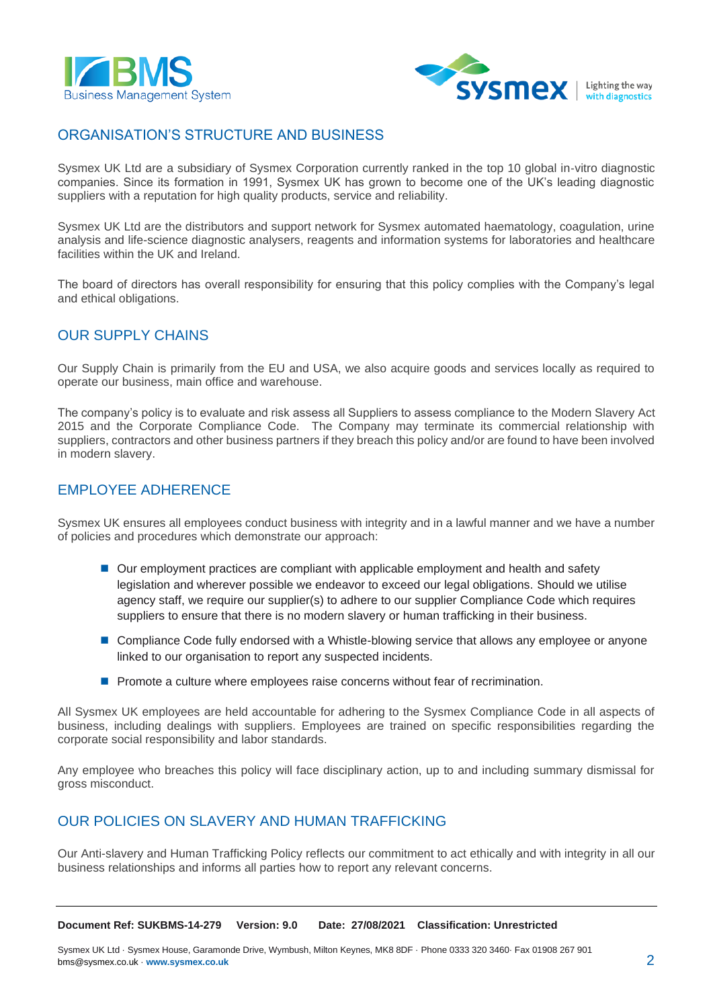



#### ORGANISATION'S STRUCTURE AND BUSINESS

Sysmex UK Ltd are a subsidiary of Sysmex Corporation currently ranked in the top 10 global in‐vitro diagnostic companies. Since its formation in 1991, Sysmex UK has grown to become one of the UK's leading diagnostic suppliers with a reputation for high quality products, service and reliability.

Sysmex UK Ltd are the distributors and support network for Sysmex automated haematology, coagulation, urine analysis and life-science diagnostic analysers, reagents and information systems for laboratories and healthcare facilities within the UK and Ireland.

The board of directors has overall responsibility for ensuring that this policy complies with the Company's legal and ethical obligations.

#### OUR SUPPLY CHAINS

Our Supply Chain is primarily from the EU and USA, we also acquire goods and services locally as required to operate our business, main office and warehouse.

The company's policy is to evaluate and risk assess all Suppliers to assess compliance to the Modern Slavery Act 2015 and the Corporate Compliance Code. The Company may terminate its commercial relationship with suppliers, contractors and other business partners if they breach this policy and/or are found to have been involved in modern slavery.

#### EMPLOYEE ADHERENCE

Sysmex UK ensures all employees conduct business with integrity and in a lawful manner and we have a number of policies and procedures which demonstrate our approach:

- Our employment practices are compliant with applicable employment and health and safety legislation and wherever possible we endeavor to exceed our legal obligations. Should we utilise agency staff, we require our supplier(s) to adhere to our supplier Compliance Code which requires suppliers to ensure that there is no modern slavery or human trafficking in their business.
- Compliance Code fully endorsed with a Whistle-blowing service that allows any employee or anyone linked to our organisation to report any suspected incidents.
- Promote a culture where employees raise concerns without fear of recrimination.

All Sysmex UK employees are held accountable for adhering to the Sysmex Compliance Code in all aspects of business, including dealings with suppliers. Employees are trained on specific responsibilities regarding the corporate social responsibility and labor standards.

Any employee who breaches this policy will face disciplinary action, up to and including summary dismissal for gross misconduct.

#### OUR POLICIES ON SLAVERY AND HUMAN TRAFFICKING

Our Anti-slavery and Human Trafficking Policy reflects our commitment to act ethically and with integrity in all our business relationships and informs all parties how to report any relevant concerns.

**Document Ref: SUKBMS-14-279 Version: 9.0 Date: 27/08/2021 Classification: Unrestricted**

Sysmex UK Ltd · Sysmex House, Garamonde Drive, Wymbush, Milton Keynes, MK8 8DF · Phone 0333 320 3460· Fax 01908 267 901 bms@sysmex.co.uk · **www.sysmex.co.uk** 2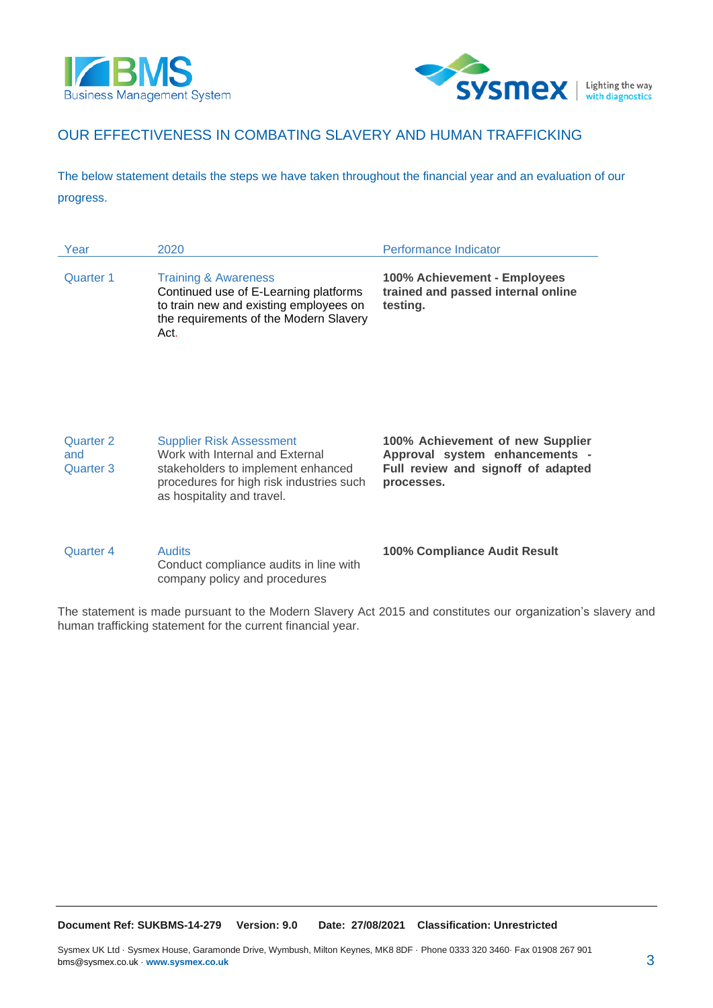



### OUR EFFECTIVENESS IN COMBATING SLAVERY AND HUMAN TRAFFICKING

The below statement details the steps we have taken throughout the financial year and an evaluation of our progress.

| Year                          | 2020                                                                                                                                                                               | Performance Indicator                                                                                                  |
|-------------------------------|------------------------------------------------------------------------------------------------------------------------------------------------------------------------------------|------------------------------------------------------------------------------------------------------------------------|
| Quarter 1                     | <b>Training &amp; Awareness</b><br>Continued use of E-Learning platforms<br>to train new and existing employees on<br>the requirements of the Modern Slavery<br>Act.               | 100% Achievement - Employees<br>trained and passed internal online<br>testing.                                         |
| Quarter 2<br>and<br>Quarter 3 | <b>Supplier Risk Assessment</b><br>Work with Internal and External<br>stakeholders to implement enhanced<br>procedures for high risk industries such<br>as hospitality and travel. | 100% Achievement of new Supplier<br>Approval system enhancements -<br>Full review and signoff of adapted<br>processes. |
| Quarter 4                     | <b>Audits</b><br>Conduct compliance audits in line with<br>company policy and procedures                                                                                           | <b>100% Compliance Audit Result</b>                                                                                    |

The statement is made pursuant to the Modern Slavery Act 2015 and constitutes our organization's slavery and human trafficking statement for the current financial year.

**Document Ref: SUKBMS-14-279 Version: 9.0 Date: 27/08/2021 Classification: Unrestricted**